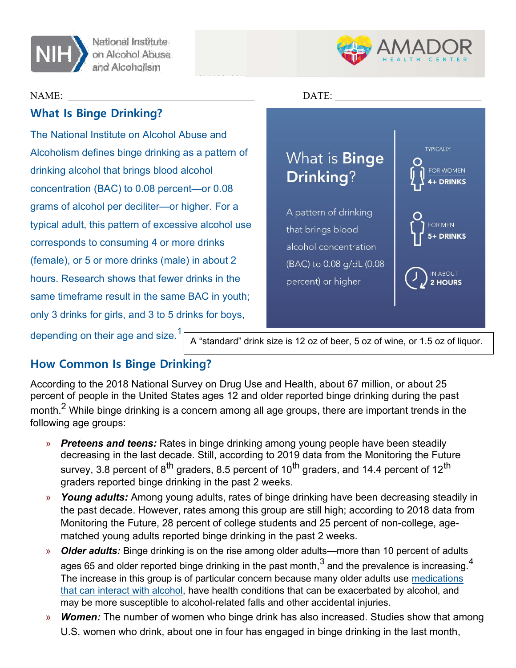



# What Is Binge Drinking?

The National Institute on Alcohol Abuse and Alcoholism defines binge drinking as a pattern of drinking alcohol that brings blood alcohol concentration (BAC) to 0.08 percent—or 0.08 grams of alcohol per deciliter—or higher. For a typical adult, this pattern of excessive alcohol use corresponds to consuming 4 or more drinks (female), or 5 or more drinks (male) in about 2 hours. Research shows that fewer drinks in the same timeframe result in the same BAC in youth; only 3 drinks for girls, and 3 to 5 drinks for boys,



depending on their age and size.<sup>1</sup>

A "standard" drink size is 12 oz of beer, 5 oz of wine, or 1.5 oz of liquor.

# How Common Is Binge Drinking?

According to the 2018 National Survey on Drug Use and Health, about 67 million, or about 25 percent of people in the United States ages 12 and older reported binge drinking during the past month. $^{\mathsf{2}}$  While binge drinking is a concern among all age groups, there are important trends in the following age groups:

- **Preteens and teens:** Rates in binge drinking among young people have been steadily decreasing in the last decade. Still, according to 2019 data from the Monitoring the Future survey, 3.8 percent of  $8<sup>th</sup>$  graders, 8.5 percent of 10<sup>th</sup> graders, and 14.4 percent of 12<sup>th</sup> graders reported binge drinking in the past 2 weeks.
- » Young adults: Among young adults, rates of binge drinking have been decreasing steadily in the past decade. However, rates among this group are still high; according to 2018 data from Monitoring the Future, 28 percent of college students and 25 percent of non-college, agematched young adults reported binge drinking in the past 2 weeks.
- » Older adults: Binge drinking is on the rise among older adults—more than 10 percent of adults ages 65 and older reported binge drinking in the past month, $^3$  and the prevalence is increasing. $^4\,$ The increase in this group is of particular concern because many older adults use medications that can interact with alcohol, have health conditions that can be exacerbated by alcohol, and may be more susceptible to alcohol-related falls and other accidental injuries.
- » **Women:** The number of women who binge drink has also increased. Studies show that among U.S. women who drink, about one in four has engaged in binge drinking in the last month,